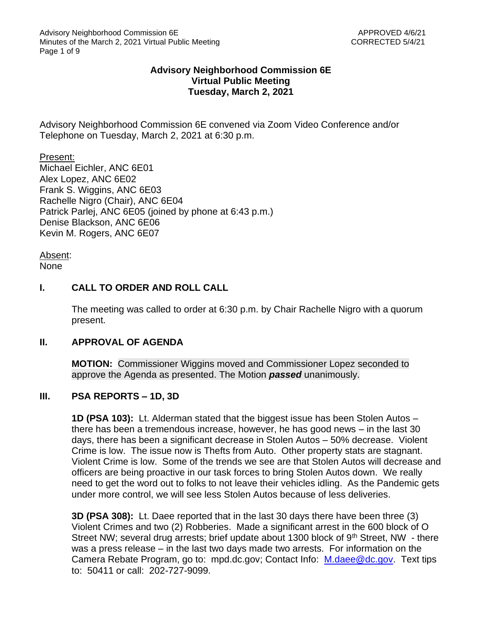## **Advisory Neighborhood Commission 6E Virtual Public Meeting Tuesday, March 2, 2021**

Advisory Neighborhood Commission 6E convened via Zoom Video Conference and/or Telephone on Tuesday, March 2, 2021 at 6:30 p.m.

Present: Michael Eichler, ANC 6E01 Alex Lopez, ANC 6E02 Frank S. Wiggins, ANC 6E03 Rachelle Nigro (Chair), ANC 6E04 Patrick Parlej, ANC 6E05 (joined by phone at 6:43 p.m.) Denise Blackson, ANC 6E06 Kevin M. Rogers, ANC 6E07

Absent:

None

## **I. CALL TO ORDER AND ROLL CALL**

The meeting was called to order at 6:30 p.m. by Chair Rachelle Nigro with a quorum present.

## **II. APPROVAL OF AGENDA**

**MOTION:** Commissioner Wiggins moved and Commissioner Lopez seconded to approve the Agenda as presented. The Motion *passed* unanimously.

## **III. PSA REPORTS – 1D, 3D**

**1D (PSA 103):** Lt. Alderman stated that the biggest issue has been Stolen Autos – there has been a tremendous increase, however, he has good news – in the last 30 days, there has been a significant decrease in Stolen Autos – 50% decrease. Violent Crime is low. The issue now is Thefts from Auto. Other property stats are stagnant. Violent Crime is low. Some of the trends we see are that Stolen Autos will decrease and officers are being proactive in our task forces to bring Stolen Autos down. We really need to get the word out to folks to not leave their vehicles idling. As the Pandemic gets under more control, we will see less Stolen Autos because of less deliveries.

**3D (PSA 308):** Lt. Daee reported that in the last 30 days there have been three (3) Violent Crimes and two (2) Robberies. Made a significant arrest in the 600 block of O Street NW; several drug arrests; brief update about 1300 block of 9<sup>th</sup> Street, NW - there was a press release – in the last two days made two arrests. For information on the Camera Rebate Program, go to: mpd.dc.gov; Contact Info: [M.daee@dc.gov.](mailto:M.daee@dc.gov) Text tips to: 50411 or call: 202-727-9099.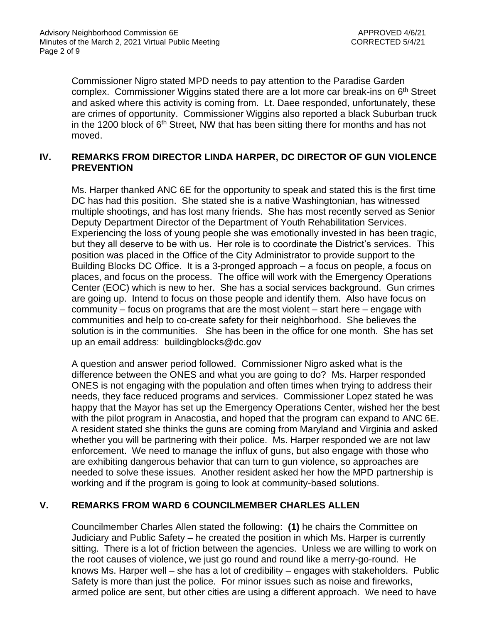Commissioner Nigro stated MPD needs to pay attention to the Paradise Garden complex. Commissioner Wiggins stated there are a lot more car break-ins on  $6<sup>th</sup>$  Street and asked where this activity is coming from. Lt. Daee responded, unfortunately, these are crimes of opportunity. Commissioner Wiggins also reported a black Suburban truck in the 1200 block of  $6<sup>th</sup>$  Street, NW that has been sitting there for months and has not moved.

## **IV. REMARKS FROM DIRECTOR LINDA HARPER, DC DIRECTOR OF GUN VIOLENCE PREVENTION**

Ms. Harper thanked ANC 6E for the opportunity to speak and stated this is the first time DC has had this position. She stated she is a native Washingtonian, has witnessed multiple shootings, and has lost many friends. She has most recently served as Senior Deputy Department Director of the Department of Youth Rehabilitation Services. Experiencing the loss of young people she was emotionally invested in has been tragic, but they all deserve to be with us. Her role is to coordinate the District's services. This position was placed in the Office of the City Administrator to provide support to the Building Blocks DC Office. It is a 3-pronged approach – a focus on people, a focus on places, and focus on the process. The office will work with the Emergency Operations Center (EOC) which is new to her. She has a social services background. Gun crimes are going up. Intend to focus on those people and identify them. Also have focus on community – focus on programs that are the most violent – start here – engage with communities and help to co-create safety for their neighborhood. She believes the solution is in the communities. She has been in the office for one month. She has set up an email address: buildingblocks@dc.gov

A question and answer period followed. Commissioner Nigro asked what is the difference between the ONES and what you are going to do? Ms. Harper responded ONES is not engaging with the population and often times when trying to address their needs, they face reduced programs and services. Commissioner Lopez stated he was happy that the Mayor has set up the Emergency Operations Center, wished her the best with the pilot program in Anacostia, and hoped that the program can expand to ANC 6E. A resident stated she thinks the guns are coming from Maryland and Virginia and asked whether you will be partnering with their police. Ms. Harper responded we are not law enforcement. We need to manage the influx of guns, but also engage with those who are exhibiting dangerous behavior that can turn to gun violence, so approaches are needed to solve these issues. Another resident asked her how the MPD partnership is working and if the program is going to look at community-based solutions.

# **V. REMARKS FROM WARD 6 COUNCILMEMBER CHARLES ALLEN**

Councilmember Charles Allen stated the following: **(1)** he chairs the Committee on Judiciary and Public Safety – he created the position in which Ms. Harper is currently sitting. There is a lot of friction between the agencies. Unless we are willing to work on the root causes of violence, we just go round and round like a merry-go-round. He knows Ms. Harper well – she has a lot of credibility – engages with stakeholders. Public Safety is more than just the police. For minor issues such as noise and fireworks, armed police are sent, but other cities are using a different approach. We need to have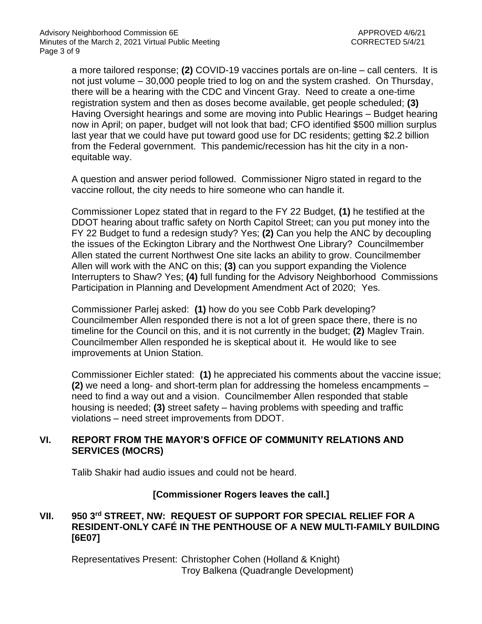a more tailored response; **(2)** COVID-19 vaccines portals are on-line – call centers. It is not just volume – 30,000 people tried to log on and the system crashed. On Thursday, there will be a hearing with the CDC and Vincent Gray. Need to create a one-time registration system and then as doses become available, get people scheduled; **(3)** Having Oversight hearings and some are moving into Public Hearings – Budget hearing now in April; on paper, budget will not look that bad; CFO identified \$500 million surplus last year that we could have put toward good use for DC residents; getting \$2.2 billion from the Federal government. This pandemic/recession has hit the city in a nonequitable way.

A question and answer period followed. Commissioner Nigro stated in regard to the vaccine rollout, the city needs to hire someone who can handle it.

Commissioner Lopez stated that in regard to the FY 22 Budget, **(1)** he testified at the DDOT hearing about traffic safety on North Capitol Street; can you put money into the FY 22 Budget to fund a redesign study? Yes; **(2)** Can you help the ANC by decoupling the issues of the Eckington Library and the Northwest One Library? Councilmember Allen stated the current Northwest One site lacks an ability to grow. Councilmember Allen will work with the ANC on this; **(3)** can you support expanding the Violence Interrupters to Shaw? Yes; **(4)** full funding for the Advisory Neighborhood Commissions Participation in Planning and Development Amendment Act of 2020; Yes.

Commissioner Parlej asked: **(1)** how do you see Cobb Park developing? Councilmember Allen responded there is not a lot of green space there, there is no timeline for the Council on this, and it is not currently in the budget; **(2)** Maglev Train. Councilmember Allen responded he is skeptical about it. He would like to see improvements at Union Station.

Commissioner Eichler stated: **(1)** he appreciated his comments about the vaccine issue; **(2)** we need a long- and short-term plan for addressing the homeless encampments – need to find a way out and a vision. Councilmember Allen responded that stable housing is needed; **(3)** street safety – having problems with speeding and traffic violations – need street improvements from DDOT.

## **VI. REPORT FROM THE MAYOR'S OFFICE OF COMMUNITY RELATIONS AND SERVICES (MOCRS)**

Talib Shakir had audio issues and could not be heard.

# **[Commissioner Rogers leaves the call.]**

## **VII. 950 3rd STREET, NW: REQUEST OF SUPPORT FOR SPECIAL RELIEF FOR A RESIDENT-ONLY CAFÉ IN THE PENTHOUSE OF A NEW MULTI-FAMILY BUILDING [6E07]**

Representatives Present: Christopher Cohen (Holland & Knight) Troy Balkena (Quadrangle Development)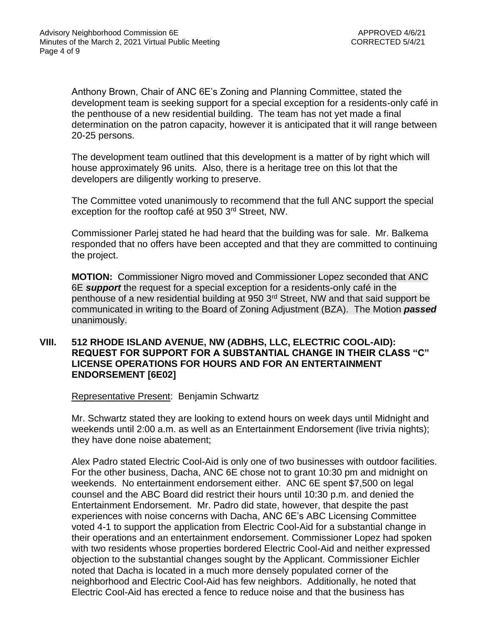Anthony Brown, Chair of ANC 6E's Zoning and Planning Committee, stated the development team is seeking support for a special exception for a residents-only café in the penthouse of a new residential building. The team has not yet made a final determination on the patron capacity, however it is anticipated that it will range between 20-25 persons.

The development team outlined that this development is a matter of by right which will house approximately 96 units. Also, there is a heritage tree on this lot that the developers are diligently working to preserve.

The Committee voted unanimously to recommend that the full ANC support the special exception for the rooftop café at 950 3rd Street, NW.

Commissioner Parlej stated he had heard that the building was for sale. Mr. Balkema responded that no offers have been accepted and that they are committed to continuing the project.

**MOTION:** Commissioner Nigro moved and Commissioner Lopez seconded that ANC 6E *support* the request for a special exception for a residents-only café in the penthouse of a new residential building at 950 3rd Street, NW and that said support be communicated in writing to the Board of Zoning Adjustment (BZA). The Motion *passed* unanimously.

## **VIII. 512 RHODE ISLAND AVENUE, NW (ADBHS, LLC, ELECTRIC COOL-AID): REQUEST FOR SUPPORT FOR A SUBSTANTIAL CHANGE IN THEIR CLASS "C" LICENSE OPERATIONS FOR HOURS AND FOR AN ENTERTAINMENT ENDORSEMENT [6E02]**

Representative Present: Benjamin Schwartz

Mr. Schwartz stated they are looking to extend hours on week days until Midnight and weekends until 2:00 a.m. as well as an Entertainment Endorsement (live trivia nights); they have done noise abatement;

Alex Padro stated Electric Cool-Aid is only one of two businesses with outdoor facilities. For the other business, Dacha, ANC 6E chose not to grant 10:30 pm and midnight on weekends. No entertainment endorsement either. ANC 6E spent \$7,500 on legal counsel and the ABC Board did restrict their hours until 10:30 p.m. and denied the Entertainment Endorsement. Mr. Padro did state, however, that despite the past experiences with noise concerns with Dacha, ANC 6E's ABC Licensing Committee voted 4-1 to support the application from Electric Cool-Aid for a substantial change in their operations and an entertainment endorsement. Commissioner Lopez had spoken with two residents whose properties bordered Electric Cool-Aid and neither expressed objection to the substantial changes sought by the Applicant. Commissioner Eichler noted that Dacha is located in a much more densely populated corner of the neighborhood and Electric Cool-Aid has few neighbors. Additionally, he noted that Electric Cool-Aid has erected a fence to reduce noise and that the business has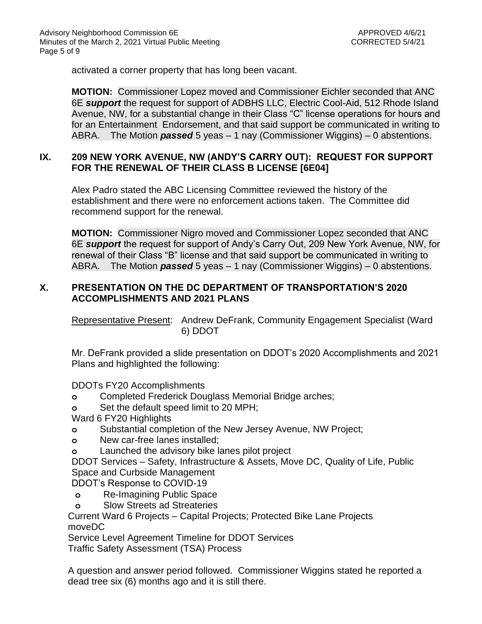activated a corner property that has long been vacant.

**MOTION:** Commissioner Lopez moved and Commissioner Eichler seconded that ANC 6E *support* the request for support of ADBHS LLC, Electric Cool-Aid, 512 Rhode Island Avenue, NW, for a substantial change in their Class "C" license operations for hours and for an Entertainment Endorsement, and that said support be communicated in writing to ABRA. The Motion *passed* 5 yeas – 1 nay (Commissioner Wiggins) – 0 abstentions.

## **IX. 209 NEW YORK AVENUE, NW (ANDY'S CARRY OUT): REQUEST FOR SUPPORT FOR THE RENEWAL OF THEIR CLASS B LICENSE [6E04]**

Alex Padro stated the ABC Licensing Committee reviewed the history of the establishment and there were no enforcement actions taken. The Committee did recommend support for the renewal.

**MOTION:** Commissioner Nigro moved and Commissioner Lopez seconded that ANC 6E *support* the request for support of Andy's Carry Out, 209 New York Avenue, NW, for renewal of their Class "B" license and that said support be communicated in writing to ABRA. The Motion *passed* 5 yeas – 1 nay (Commissioner Wiggins) – 0 abstentions.

## **X. PRESENTATION ON THE DC DEPARTMENT OF TRANSPORTATION'S 2020 ACCOMPLISHMENTS AND 2021 PLANS**

Representative Present: Andrew DeFrank, Community Engagement Specialist (Ward 6) DDOT

Mr. DeFrank provided a slide presentation on DDOT's 2020 Accomplishments and 2021 Plans and highlighted the following:

DDOTs FY20 Accomplishments

- **o** Completed Frederick Douglass Memorial Bridge arches;
- **o** Set the default speed limit to 20 MPH;
- Ward 6 FY20 Highlights
- **o** Substantial completion of the New Jersey Avenue, NW Project;
- **o** New car-free lanes installed;
- **o** Launched the advisory bike lanes pilot project
- DDOT Services Safety, Infrastructure & Assets, Move DC, Quality of Life, Public Space and Curbside Management

DDOT's Response to COVID-19

- **o** Re-Imagining Public Space
- **o** Slow Streets ad Streateries

Current Ward 6 Projects – Capital Projects; Protected Bike Lane Projects moveDC

Service Level Agreement Timeline for DDOT Services

Traffic Safety Assessment (TSA) Process

A question and answer period followed. Commissioner Wiggins stated he reported a dead tree six (6) months ago and it is still there.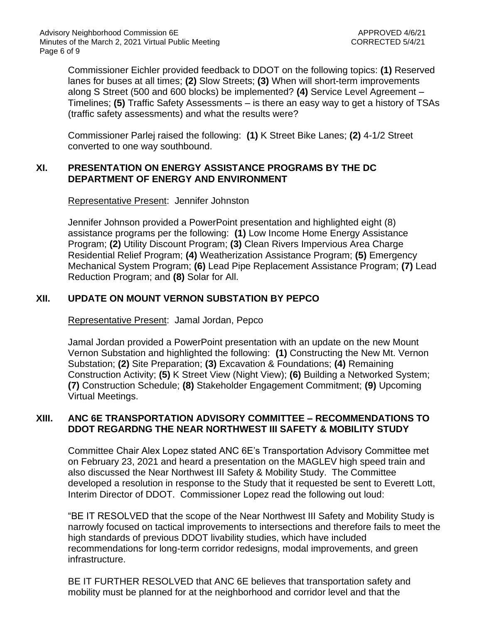Commissioner Eichler provided feedback to DDOT on the following topics: **(1)** Reserved lanes for buses at all times; **(2)** Slow Streets; **(3)** When will short-term improvements along S Street (500 and 600 blocks) be implemented? **(4)** Service Level Agreement – Timelines; **(5)** Traffic Safety Assessments – is there an easy way to get a history of TSAs (traffic safety assessments) and what the results were?

Commissioner Parlej raised the following: **(1)** K Street Bike Lanes; **(2)** 4-1/2 Street converted to one way southbound.

## **XI. PRESENTATION ON ENERGY ASSISTANCE PROGRAMS BY THE DC DEPARTMENT OF ENERGY AND ENVIRONMENT**

Representative Present: Jennifer Johnston

Jennifer Johnson provided a PowerPoint presentation and highlighted eight (8) assistance programs per the following: **(1)** Low Income Home Energy Assistance Program; **(2)** Utility Discount Program; **(3)** Clean Rivers Impervious Area Charge Residential Relief Program; **(4)** Weatherization Assistance Program; **(5)** Emergency Mechanical System Program; **(6)** Lead Pipe Replacement Assistance Program; **(7)** Lead Reduction Program; and **(8)** Solar for All.

## **XII. UPDATE ON MOUNT VERNON SUBSTATION BY PEPCO**

Representative Present:Jamal Jordan, Pepco

Jamal Jordan provided a PowerPoint presentation with an update on the new Mount Vernon Substation and highlighted the following: **(1)** Constructing the New Mt. Vernon Substation; **(2)** Site Preparation; **(3)** Excavation & Foundations; **(4)** Remaining Construction Activity; **(5)** K Street View (Night View); **(6)** Building a Networked System; **(7)** Construction Schedule; **(8)** Stakeholder Engagement Commitment; **(9)** Upcoming Virtual Meetings.

## **XIII. ANC 6E TRANSPORTATION ADVISORY COMMITTEE – RECOMMENDATIONS TO DDOT REGARDNG THE NEAR NORTHWEST III SAFETY & MOBILITY STUDY**

Committee Chair Alex Lopez stated ANC 6E's Transportation Advisory Committee met on February 23, 2021 and heard a presentation on the MAGLEV high speed train and also discussed the Near Northwest III Safety & Mobility Study. The Committee developed a resolution in response to the Study that it requested be sent to Everett Lott, Interim Director of DDOT. Commissioner Lopez read the following out loud:

"BE IT RESOLVED that the scope of the Near Northwest III Safety and Mobility Study is narrowly focused on tactical improvements to intersections and therefore fails to meet the high standards of previous DDOT livability studies, which have included recommendations for long-term corridor redesigns, modal improvements, and green infrastructure.

BE IT FURTHER RESOLVED that ANC 6E believes that transportation safety and mobility must be planned for at the neighborhood and corridor level and that the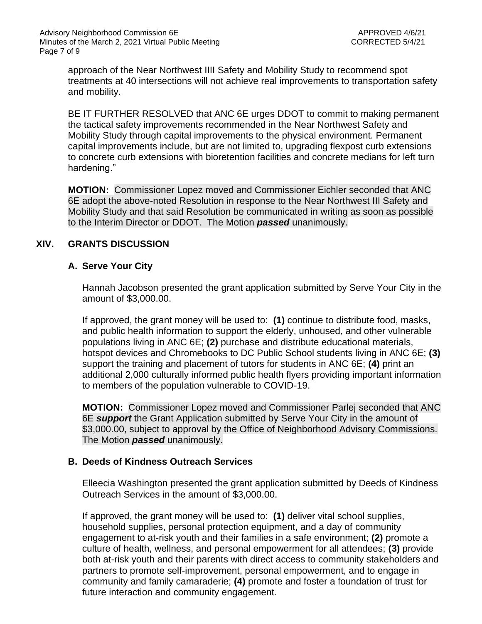approach of the Near Northwest IIII Safety and Mobility Study to recommend spot treatments at 40 intersections will not achieve real improvements to transportation safety and mobility.

BE IT FURTHER RESOLVED that ANC 6E urges DDOT to commit to making permanent the tactical safety improvements recommended in the Near Northwest Safety and Mobility Study through capital improvements to the physical environment. Permanent capital improvements include, but are not limited to, upgrading flexpost curb extensions to concrete curb extensions with bioretention facilities and concrete medians for left turn hardening."

**MOTION:** Commissioner Lopez moved and Commissioner Eichler seconded that ANC 6E adopt the above-noted Resolution in response to the Near Northwest III Safety and Mobility Study and that said Resolution be communicated in writing as soon as possible to the Interim Director or DDOT. The Motion *passed* unanimously.

## **XIV. GRANTS DISCUSSION**

## **A. Serve Your City**

Hannah Jacobson presented the grant application submitted by Serve Your City in the amount of \$3,000.00.

If approved, the grant money will be used to: **(1)** continue to distribute food, masks, and public health information to support the elderly, unhoused, and other vulnerable populations living in ANC 6E; **(2)** purchase and distribute educational materials, hotspot devices and Chromebooks to DC Public School students living in ANC 6E; **(3)** support the training and placement of tutors for students in ANC 6E; **(4)** print an additional 2,000 culturally informed public health flyers providing important information to members of the population vulnerable to COVID-19.

**MOTION:** Commissioner Lopez moved and Commissioner Parlej seconded that ANC 6E *support* the Grant Application submitted by Serve Your City in the amount of \$3,000.00, subject to approval by the Office of Neighborhood Advisory Commissions. The Motion *passed* unanimously.

## **B. Deeds of Kindness Outreach Services**

Elleecia Washington presented the grant application submitted by Deeds of Kindness Outreach Services in the amount of \$3,000.00.

If approved, the grant money will be used to: **(1)** deliver vital school supplies, household supplies, personal protection equipment, and a day of community engagement to at-risk youth and their families in a safe environment; **(2)** promote a culture of health, wellness, and personal empowerment for all attendees; **(3)** provide both at-risk youth and their parents with direct access to community stakeholders and partners to promote self-improvement, personal empowerment, and to engage in community and family camaraderie; **(4)** promote and foster a foundation of trust for future interaction and community engagement.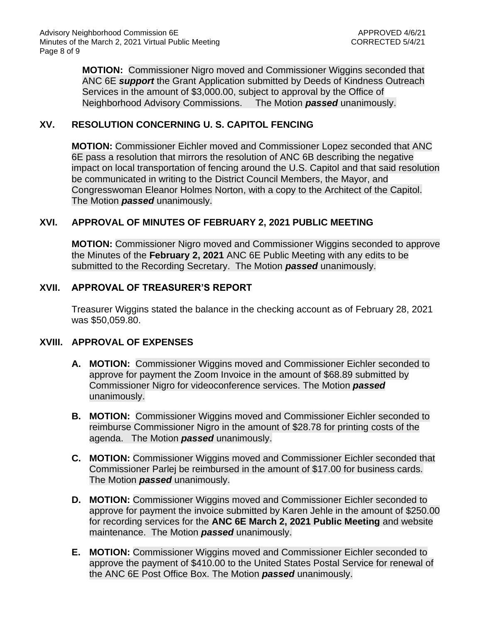**MOTION:** Commissioner Nigro moved and Commissioner Wiggins seconded that ANC 6E *support* the Grant Application submitted by Deeds of Kindness Outreach Services in the amount of \$3,000.00, subject to approval by the Office of Neighborhood Advisory Commissions. The Motion *passed* unanimously.

## **XV. RESOLUTION CONCERNING U. S. CAPITOL FENCING**

**MOTION:** Commissioner Eichler moved and Commissioner Lopez seconded that ANC 6E pass a resolution that mirrors the resolution of ANC 6B describing the negative impact on local transportation of fencing around the U.S. Capitol and that said resolution be communicated in writing to the District Council Members, the Mayor, and Congresswoman Eleanor Holmes Norton, with a copy to the Architect of the Capitol. The Motion *passed* unanimously.

## **XVI. APPROVAL OF MINUTES OF FEBRUARY 2, 2021 PUBLIC MEETING**

**MOTION:** Commissioner Nigro moved and Commissioner Wiggins seconded to approve the Minutes of the **February 2, 2021** ANC 6E Public Meeting with any edits to be submitted to the Recording Secretary. The Motion *passed* unanimously.

## **XVII. APPROVAL OF TREASURER'S REPORT**

Treasurer Wiggins stated the balance in the checking account as of February 28, 2021 was \$50,059.80.

## **XVIII. APPROVAL OF EXPENSES**

- **A. MOTION:** Commissioner Wiggins moved and Commissioner Eichler seconded to approve for payment the Zoom Invoice in the amount of \$68.89 submitted by Commissioner Nigro for videoconference services. The Motion *passed* unanimously.
- **B. MOTION:** Commissioner Wiggins moved and Commissioner Eichler seconded to reimburse Commissioner Nigro in the amount of \$28.78 for printing costs of the agenda. The Motion *passed* unanimously.
- **C. MOTION:** Commissioner Wiggins moved and Commissioner Eichler seconded that Commissioner Parlej be reimbursed in the amount of \$17.00 for business cards. The Motion *passed* unanimously.
- **D. MOTION:** Commissioner Wiggins moved and Commissioner Eichler seconded to approve for payment the invoice submitted by Karen Jehle in the amount of \$250.00 for recording services for the **ANC 6E March 2, 2021 Public Meeting** and website maintenance. The Motion *passed* unanimously.
- **E. MOTION:** Commissioner Wiggins moved and Commissioner Eichler seconded to approve the payment of \$410.00 to the United States Postal Service for renewal of the ANC 6E Post Office Box. The Motion *passed* unanimously.